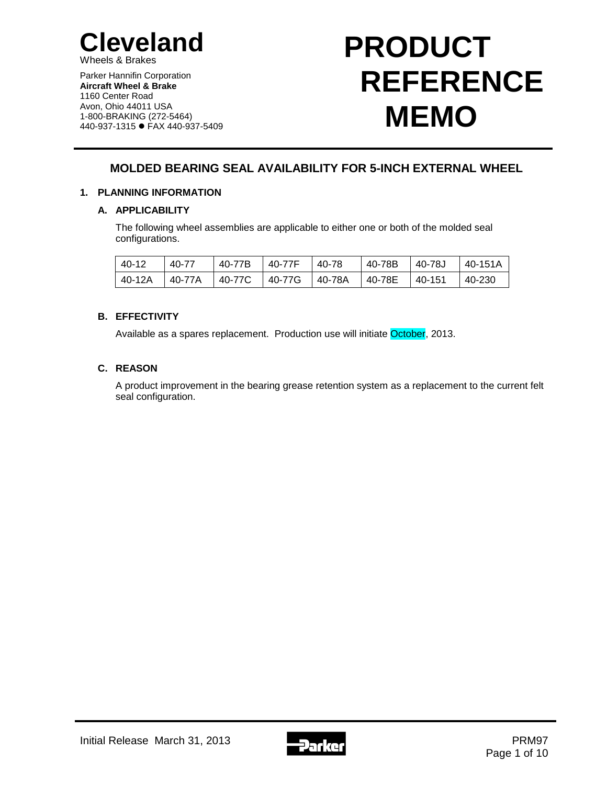

Wheels & Brakes

Parker Hannifin Corporation **Aircraft Wheel & Brake** 1160 Center Road Avon, Ohio 44011 USA 1-800-BRAKING (272-5464) 440-937-1315 FAX 440-937-5409

# **PRODUCT REFERENCE MEMO**

# **MOLDED BEARING SEAL AVAILABILITY FOR 5-INCH EXTERNAL WHEEL**

## **1. PLANNING INFORMATION**

## **A. APPLICABILITY**

The following wheel assemblies are applicable to either one or both of the molded seal configurations.

| 40-12  | 40-77  | 40-77B | 40-77F | 40-78    | 40-78B | 40-78J   | 40-151A |
|--------|--------|--------|--------|----------|--------|----------|---------|
| 40-12A | 40-77A | 40-77C | 40-77G | l 40-78A | 40-78E | l 40-151 | 40-230  |

## **B. EFFECTIVITY**

Available as a spares replacement. Production use will initiate October, 2013.

## **C. REASON**

A product improvement in the bearing grease retention system as a replacement to the current felt seal configuration.

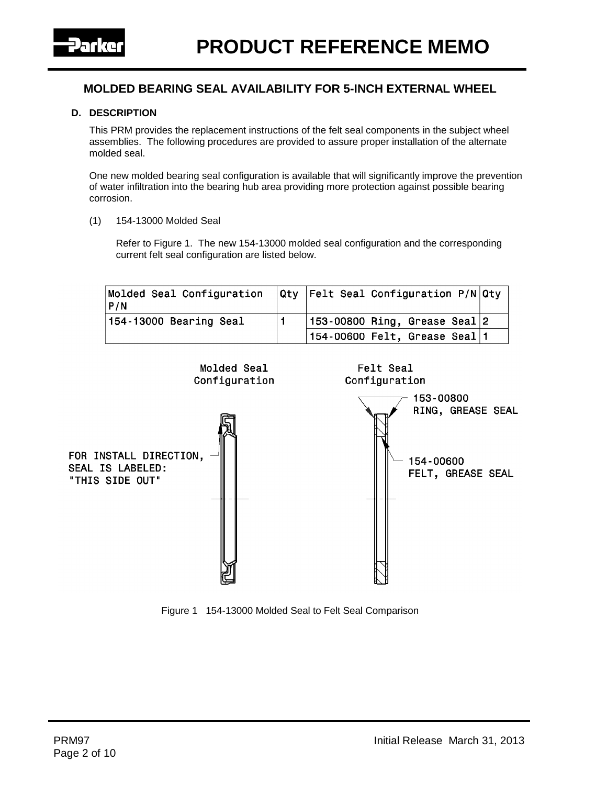

#### **D. DESCRIPTION**

This PRM provides the replacement instructions of the felt seal components in the subject wheel assemblies. The following procedures are provided to assure proper installation of the alternate molded seal.

One new molded bearing seal configuration is available that will significantly improve the prevention of water infiltration into the bearing hub area providing more protection against possible bearing corrosion.

(1) 154-13000 Molded Seal

Refer to Figure 1. The new 154-13000 molded seal configuration and the corresponding current felt seal configuration are listed below.

| Molded Seal Configuration<br>  P / N |  | $ Qty $ Felt Seal Configuration P/N $ Qty $ |  |
|--------------------------------------|--|---------------------------------------------|--|
| 154-13000 Bearing Seal               |  | $ 153-00800$ Ring, Grease Seal $ 2 $        |  |
|                                      |  | $\mid$ 154-00600 Felt, Grease Seal $\mid$ 1 |  |



Figure 1 154-13000 Molded Seal to Felt Seal Comparison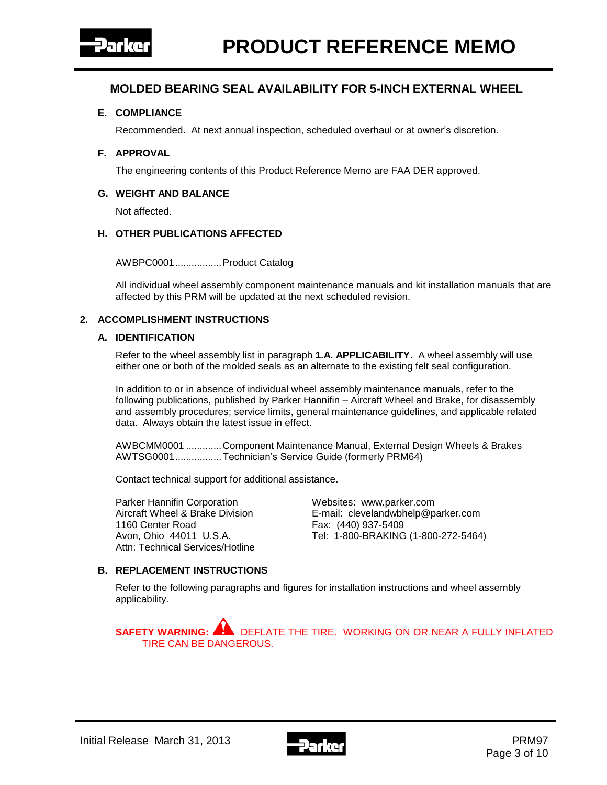

#### **E. COMPLIANCE**

Recommended. At next annual inspection, scheduled overhaul or at owner's discretion.

#### **F. APPROVAL**

The engineering contents of this Product Reference Memo are FAA DER approved.

#### **G. WEIGHT AND BALANCE**

Not affected.

#### **H. OTHER PUBLICATIONS AFFECTED**

AWBPC0001.................Product Catalog

All individual wheel assembly component maintenance manuals and kit installation manuals that are affected by this PRM will be updated at the next scheduled revision.

#### **2. ACCOMPLISHMENT INSTRUCTIONS**

#### **A. IDENTIFICATION**

Refer to the wheel assembly list in paragraph **1.A. APPLICABILITY**. A wheel assembly will use either one or both of the molded seals as an alternate to the existing felt seal configuration.

In addition to or in absence of individual wheel assembly maintenance manuals, refer to the following publications, published by Parker Hannifin – Aircraft Wheel and Brake, for disassembly and assembly procedures; service limits, general maintenance guidelines, and applicable related data. Always obtain the latest issue in effect.

AWBCMM0001 .............Component Maintenance Manual, External Design Wheels & Brakes AWTSG0001.................Technician's Service Guide (formerly PRM64)

Contact technical support for additional assistance.

Parker Hannifin Corporation **Websites:** www.parker.com 1160 Center Road Fax: (440) 937-5409 Attn: Technical Services/Hotline

Aircraft Wheel & Brake Division E-mail: clevelandwbhelp@parker.com Avon, Ohio 44011 U.S.A. Tel: 1-800-BRAKING (1-800-272-5464)

#### **B. REPLACEMENT INSTRUCTIONS**

Refer to the following paragraphs and figures for installation instructions and wheel assembly applicability.

**SAFETY WARNING:** DEFLATE THE TIRE. WORKING ON OR NEAR A FULLY INFLATED TIRE CAN BE DANGEROUS.

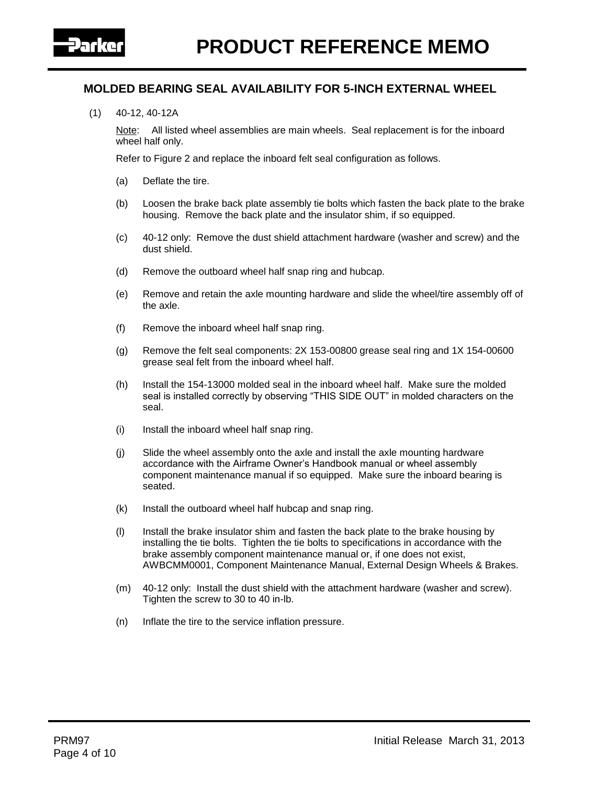

(1) 40-12, 40-12A

Note: All listed wheel assemblies are main wheels. Seal replacement is for the inboard wheel half only.

Refer to Figure 2 and replace the inboard felt seal configuration as follows.

- (a) Deflate the tire.
- (b) Loosen the brake back plate assembly tie bolts which fasten the back plate to the brake housing. Remove the back plate and the insulator shim, if so equipped.
- (c) 40-12 only: Remove the dust shield attachment hardware (washer and screw) and the dust shield.
- (d) Remove the outboard wheel half snap ring and hubcap.
- (e) Remove and retain the axle mounting hardware and slide the wheel/tire assembly off of the axle.
- (f) Remove the inboard wheel half snap ring.
- (g) Remove the felt seal components: 2X 153-00800 grease seal ring and 1X 154-00600 grease seal felt from the inboard wheel half.
- (h) Install the 154-13000 molded seal in the inboard wheel half. Make sure the molded seal is installed correctly by observing "THIS SIDE OUT" in molded characters on the seal.
- (i) Install the inboard wheel half snap ring.
- (j) Slide the wheel assembly onto the axle and install the axle mounting hardware accordance with the Airframe Owner's Handbook manual or wheel assembly component maintenance manual if so equipped. Make sure the inboard bearing is seated.
- (k) Install the outboard wheel half hubcap and snap ring.
- (l) Install the brake insulator shim and fasten the back plate to the brake housing by installing the tie bolts. Tighten the tie bolts to specifications in accordance with the brake assembly component maintenance manual or, if one does not exist, AWBCMM0001, Component Maintenance Manual, External Design Wheels & Brakes.
- (m) 40-12 only: Install the dust shield with the attachment hardware (washer and screw). Tighten the screw to 30 to 40 in-lb.
- (n) Inflate the tire to the service inflation pressure.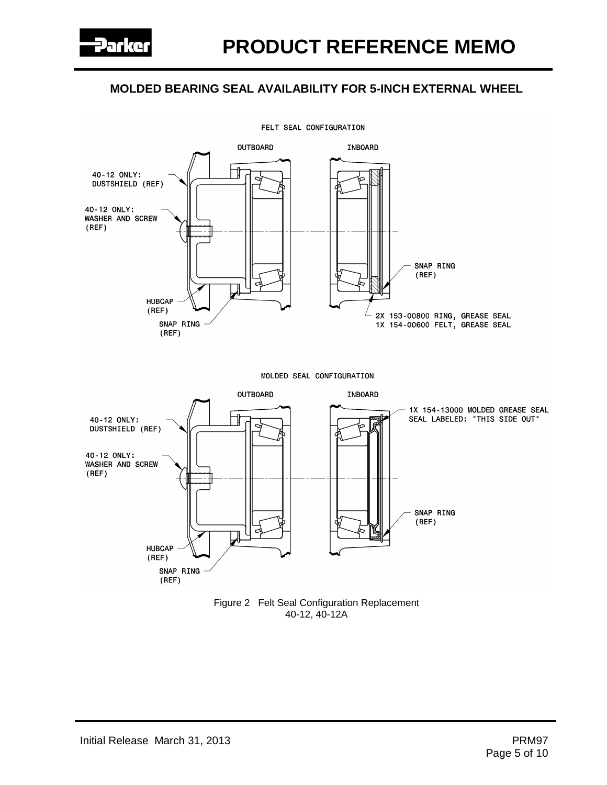

FELT SEAL CONFIGURATION

Figure 2 Felt Seal Configuration Replacement 40-12, 40-12A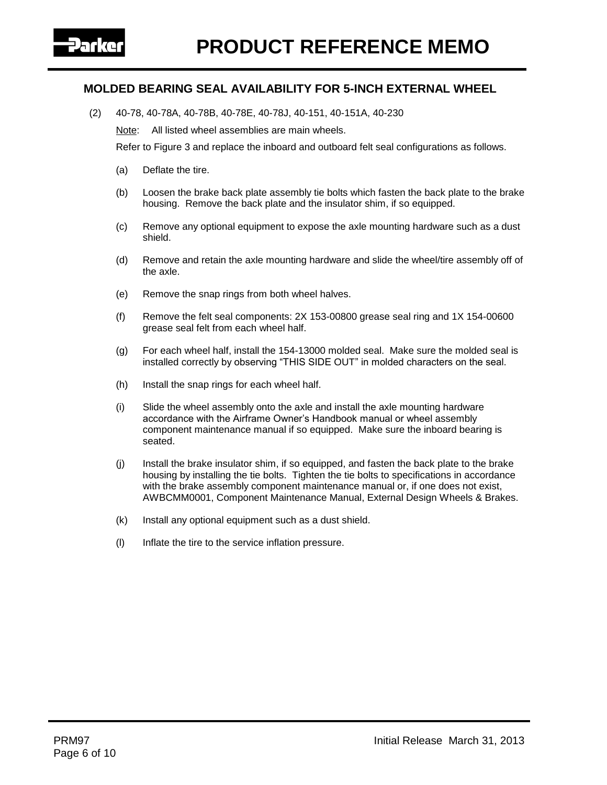

(2) 40-78, 40-78A, 40-78B, 40-78E, 40-78J, 40-151, 40-151A, 40-230

Note: All listed wheel assemblies are main wheels.

Refer to Figure 3 and replace the inboard and outboard felt seal configurations as follows.

- (a) Deflate the tire.
- (b) Loosen the brake back plate assembly tie bolts which fasten the back plate to the brake housing. Remove the back plate and the insulator shim, if so equipped.
- (c) Remove any optional equipment to expose the axle mounting hardware such as a dust shield.
- (d) Remove and retain the axle mounting hardware and slide the wheel/tire assembly off of the axle.
- (e) Remove the snap rings from both wheel halves.
- (f) Remove the felt seal components: 2X 153-00800 grease seal ring and 1X 154-00600 grease seal felt from each wheel half.
- (g) For each wheel half, install the 154-13000 molded seal. Make sure the molded seal is installed correctly by observing "THIS SIDE OUT" in molded characters on the seal.
- (h) Install the snap rings for each wheel half.
- (i) Slide the wheel assembly onto the axle and install the axle mounting hardware accordance with the Airframe Owner's Handbook manual or wheel assembly component maintenance manual if so equipped. Make sure the inboard bearing is seated.
- (j) Install the brake insulator shim, if so equipped, and fasten the back plate to the brake housing by installing the tie bolts. Tighten the tie bolts to specifications in accordance with the brake assembly component maintenance manual or, if one does not exist, AWBCMM0001, Component Maintenance Manual, External Design Wheels & Brakes.
- (k) Install any optional equipment such as a dust shield.
- (l) Inflate the tire to the service inflation pressure.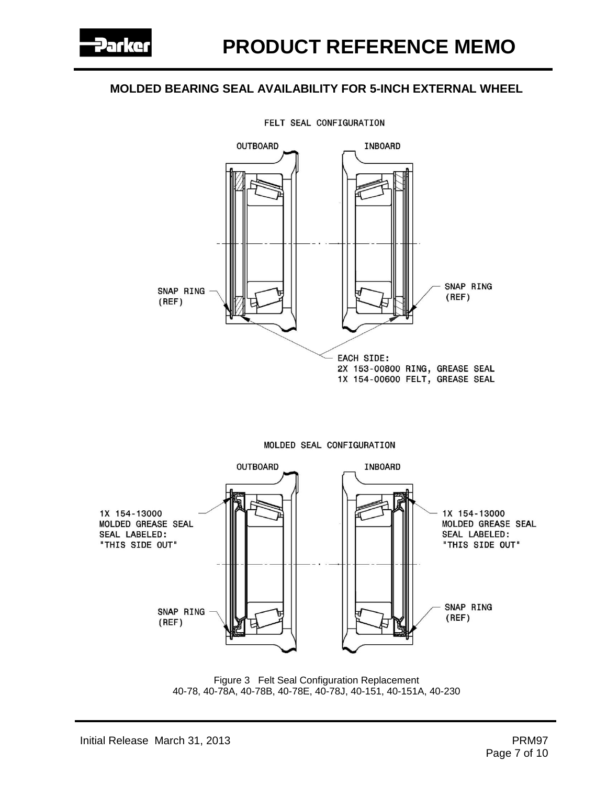

FELT SEAL CONFIGURATION



Figure 3 Felt Seal Configuration Replacement 40-78, 40-78A, 40-78B, 40-78E, 40-78J, 40-151, 40-151A, 40-230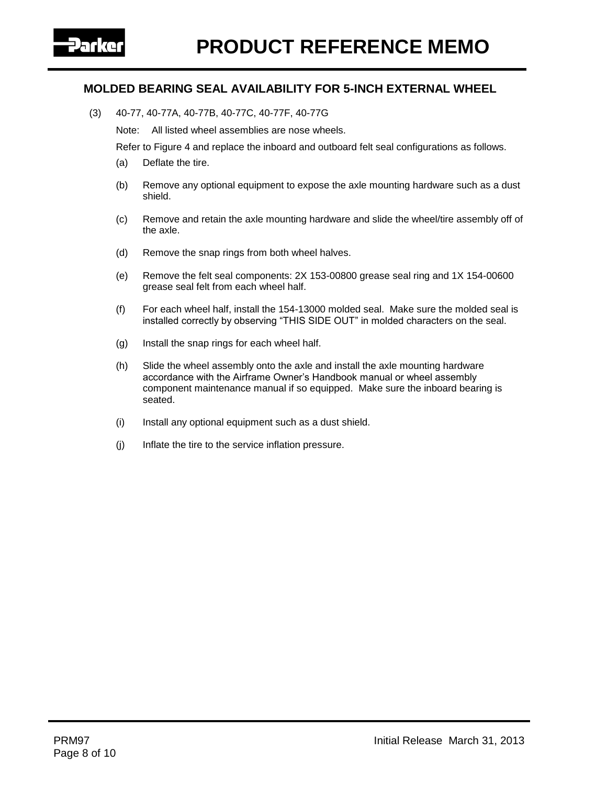

(3) 40-77, 40-77A, 40-77B, 40-77C, 40-77F, 40-77G

Note: All listed wheel assemblies are nose wheels.

Refer to Figure 4 and replace the inboard and outboard felt seal configurations as follows.

- (a) Deflate the tire.
- (b) Remove any optional equipment to expose the axle mounting hardware such as a dust shield.
- (c) Remove and retain the axle mounting hardware and slide the wheel/tire assembly off of the axle.
- (d) Remove the snap rings from both wheel halves.
- (e) Remove the felt seal components: 2X 153-00800 grease seal ring and 1X 154-00600 grease seal felt from each wheel half.
- (f) For each wheel half, install the 154-13000 molded seal. Make sure the molded seal is installed correctly by observing "THIS SIDE OUT" in molded characters on the seal.
- (g) Install the snap rings for each wheel half.
- (h) Slide the wheel assembly onto the axle and install the axle mounting hardware accordance with the Airframe Owner's Handbook manual or wheel assembly component maintenance manual if so equipped. Make sure the inboard bearing is seated.
- (i) Install any optional equipment such as a dust shield.
- (j) Inflate the tire to the service inflation pressure.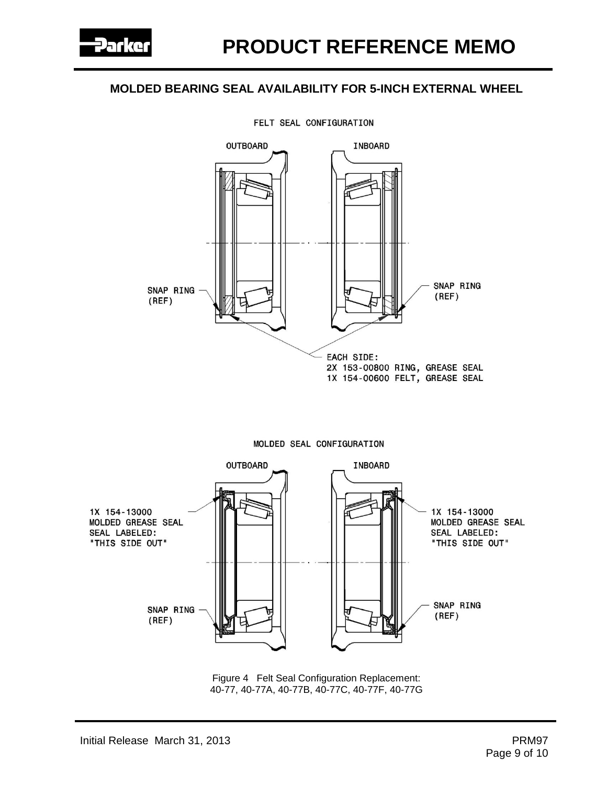

#### FELT SEAL CONFIGURATION





Figure 4 Felt Seal Configuration Replacement: 40-77, 40-77A, 40-77B, 40-77C, 40-77F, 40-77G